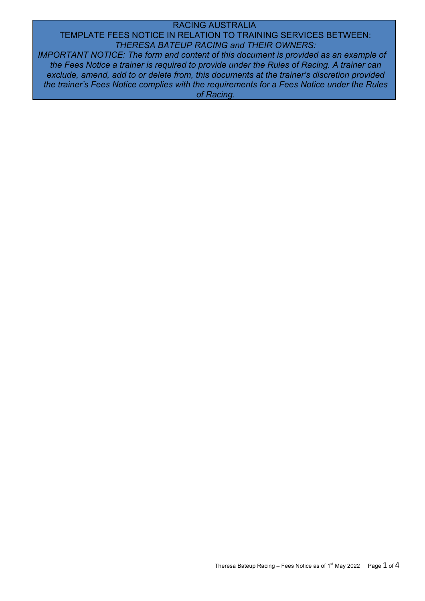## RACING AUSTRALIA

TEMPLATE FEES NOTICE IN RELATION TO TRAINING SERVICES BETWEEN: *THERESA BATEUP RACING and THEIR OWNERS:*

*IMPORTANT NOTICE: The form and content of this document is provided as an example of the Fees Notice a trainer is required to provide under the Rules of Racing. A trainer can exclude, amend, add to or delete from, this documents at the trainer's discretion provided the trainer's Fees Notice complies with the requirements for a Fees Notice under the Rules of Racing.*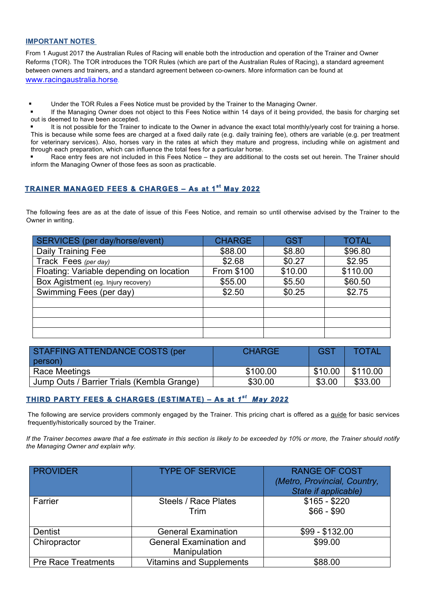## **IMPORTANT NOTES**

From 1 August 2017 the Australian Rules of Racing will enable both the introduction and operation of the Trainer and Owner Reforms (TOR). The TOR introduces the TOR Rules (which are part of the Australian Rules of Racing), a standard agreement between owners and trainers, and a standard agreement between co-owners. More information can be found at www.racingaustralia.horse.

! Under the TOR Rules a Fees Notice must be provided by the Trainer to the Managing Owner.

If the Managing Owner does not object to this Fees Notice within 14 days of it being provided, the basis for charging set out is deemed to have been accepted.

It is not possible for the Trainer to indicate to the Owner in advance the exact total monthly/yearly cost for training a horse. This is because while some fees are charged at a fixed daily rate (e.g. daily training fee), others are variable (e.g. per treatment for veterinary services). Also, horses vary in the rates at which they mature and progress, including while on agistment and through each preparation, which can influence the total fees for a particular horse.

Race entry fees are not included in this Fees Notice – they are additional to the costs set out herein. The Trainer should inform the Managing Owner of those fees as soon as practicable.

# **TRAINER MANAGED FEES & CHARGES – As at 1st May 2022**

The following fees are as at the date of issue of this Fees Notice, and remain so until otherwise advised by the Trainer to the Owner in writing.

| SERVICES (per day/horse/event)           | <b>CHARGE</b> | <b>GST</b> | <b>TOTAL</b> |
|------------------------------------------|---------------|------------|--------------|
| Daily Training Fee                       | \$88.00       | \$8.80     | \$96.80      |
| Track Fees (per day)                     | \$2.68        | \$0.27     | \$2.95       |
| Floating: Variable depending on location | From \$100    | \$10.00    | \$110.00     |
| Box Agistment (eg. Injury recovery)      | \$55.00       | \$5.50     | \$60.50      |
| Swimming Fees (per day)                  | \$2.50        | \$0.25     | \$2.75       |
|                                          |               |            |              |
|                                          |               |            |              |
|                                          |               |            |              |
|                                          |               |            |              |

| <b>STAFFING ATTENDANCE COSTS (per</b><br>person) | <b>CHARGE</b> | <b>GST</b> | <b>TOTAL</b> |
|--------------------------------------------------|---------------|------------|--------------|
| <b>Race Meetings</b>                             | \$100.00      | \$10.00    | \$110.00     |
| Jump Outs / Barrier Trials (Kembla Grange)       | \$30.00       | \$3.00     | \$33.00      |

# **THIRD PARTY FEES & CHARGES (ESTIMATE) – As at** *1st May 2022*

The following are service providers commonly engaged by the Trainer. This pricing chart is offered as a guide for basic services frequently/historically sourced by the Trainer.

*If the Trainer becomes aware that a fee estimate in this section is likely to be exceeded by 10% or more, the Trainer should notify the Managing Owner and explain why.* 

| <b>PROVIDER</b>            | <b>TYPE OF SERVICE</b>                         | <b>RANGE OF COST</b><br>(Metro, Provincial, Country,<br>State if applicable) |
|----------------------------|------------------------------------------------|------------------------------------------------------------------------------|
| Farrier                    | <b>Steels / Race Plates</b><br>Trim            | $$165 - $220$<br>$$66 - $90$                                                 |
| Dentist                    | <b>General Examination</b>                     | $$99 - $132.00$                                                              |
| Chiropractor               | <b>General Examination and</b><br>Manipulation | \$99.00                                                                      |
| <b>Pre Race Treatments</b> | <b>Vitamins and Supplements</b>                | \$88.00                                                                      |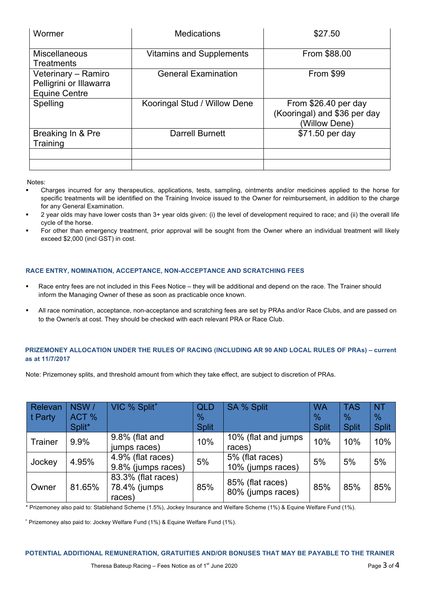| Medications                     | \$27.50                                                               |
|---------------------------------|-----------------------------------------------------------------------|
| <b>Vitamins and Supplements</b> | From \$88.00                                                          |
| <b>General Examination</b>      | From \$99                                                             |
| Kooringal Stud / Willow Dene    | From \$26.40 per day<br>(Kooringal) and \$36 per day<br>(Willow Dene) |
| Darrell Burnett                 | \$71.50 per day                                                       |
|                                 |                                                                       |
|                                 |                                                                       |

Notes:

- ! Charges incurred for any therapeutics, applications, tests, sampling, ointments and/or medicines applied to the horse for specific treatments will be identified on the Training Invoice issued to the Owner for reimbursement, in addition to the charge for any General Examination.
- ! 2 year olds may have lower costs than 3+ year olds given: (i) the level of development required to race; and (ii) the overall life cycle of the horse.
- ! For other than emergency treatment, prior approval will be sought from the Owner where an individual treatment will likely exceed \$2,000 (incl GST) in cost.

## **RACE ENTRY, NOMINATION, ACCEPTANCE, NON-ACCEPTANCE AND SCRATCHING FEES**

- Race entry fees are not included in this Fees Notice they will be additional and depend on the race. The Trainer should inform the Managing Owner of these as soon as practicable once known.
- All race nomination, acceptance, non-acceptance and scratching fees are set by PRAs and/or Race Clubs, and are passed on to the Owner/s at cost. They should be checked with each relevant PRA or Race Club.

## **PRIZEMONEY ALLOCATION UNDER THE RULES OF RACING (INCLUDING AR 90 AND LOCAL RULES OF PRAs) – current as at 11/7/2017**

Note: Prizemoney splits, and threshold amount from which they take effect, are subject to discretion of PRAs.

| Relevan<br>t Party | NSW/<br>ACT %<br>Split* | VIC % Split <sup>+</sup>                      | QLD<br>%<br><b>Split</b> | <b>SA % Split</b>                     | <b>WA</b><br>$\frac{9}{6}$<br><b>Split</b> | <b>TAS</b><br>$\frac{0}{2}$<br><b>Split</b> | <b>NT</b><br>%<br><b>Split</b> |
|--------------------|-------------------------|-----------------------------------------------|--------------------------|---------------------------------------|--------------------------------------------|---------------------------------------------|--------------------------------|
| <b>Trainer</b>     | 9.9%                    | 9.8% (flat and<br>jumps races)                | 10%                      | 10% (flat and jumps<br>races)         | 10%                                        | 10%                                         | 10%                            |
| Jockey             | 4.95%                   | 4.9% (flat races)<br>9.8% (jumps races)       | 5%                       | 5% (flat races)<br>10% (jumps races)  | 5%                                         | 5%                                          | 5%                             |
| Owner              | 81.65%                  | 83.3% (flat races)<br>78.4% (jumps)<br>races) | 85%                      | 85% (flat races)<br>80% (jumps races) | 85%                                        | 85%                                         | 85%                            |

\* Prizemoney also paid to: Stablehand Scheme (1.5%), Jockey Insurance and Welfare Scheme (1%) & Equine Welfare Fund (1%).

+ Prizemoney also paid to: Jockey Welfare Fund (1%) & Equine Welfare Fund (1%).